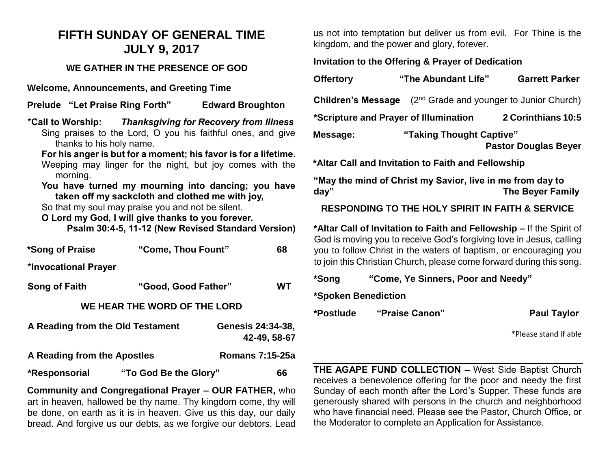# **FIFTH SUNDAY OF GENERAL TIME JULY 9, 2017**

### **WE GATHER IN THE PRESENCE OF GOD**

**Welcome, Announcements, and Greeting Time**

**Prelude "Let Praise Ring Forth" Edward Broughton** 

**\*Call to Worship:** *Thanksgiving for Recovery from Illness* Sing praises to the Lord, O you his faithful ones, and give thanks to his holy name.

**For his anger is but for a moment; his favor is for a lifetime.** Weeping may linger for the night, but joy comes with the morning.

**You have turned my mourning into dancing; you have taken off my sackcloth and clothed me with joy,**

So that my soul may praise you and not be silent.

**O Lord my God, I will give thanks to you forever.**

**Psalm 30:4-5, 11-12 (New Revised Standard Version)**

| *Song of Praise                  | "Come, Thou Fount"           |                                  | 68           |
|----------------------------------|------------------------------|----------------------------------|--------------|
| *Invocational Prayer             |                              |                                  |              |
| Song of Faith                    |                              | "Good, Good Father"<br><b>WT</b> |              |
|                                  | WE HEAR THE WORD OF THE LORD |                                  |              |
| A Reading from the Old Testament |                              | <b>Genesis 24:34-38,</b>         | 42-49, 58-67 |
| A Reading from the Apostles      |                              | <b>Romans 7:15-25a</b>           |              |
| *Responsorial                    | "To God Be the Glory"        |                                  | 66           |

**Community and Congregational Prayer – OUR FATHER,** who art in heaven, hallowed be thy name. Thy kingdom come, thy will be done, on earth as it is in heaven. Give us this day, our daily bread. And forgive us our debts, as we forgive our debtors. Lead us not into temptation but deliver us from evil. For Thine is the kingdom, and the power and glory, forever.

### **Invitation to the Offering & Prayer of Dedication**

| <b>Offertory</b>                                            | "The Abundant Life"                                     | <b>Garrett Parker</b> |  |
|-------------------------------------------------------------|---------------------------------------------------------|-----------------------|--|
| <b>Children's Message</b>                                   | (2 <sup>nd</sup> Grade and younger to Junior Church)    |                       |  |
| 2 Corinthians 10:5<br>*Scripture and Prayer of Illumination |                                                         |                       |  |
| Message:                                                    | "Taking Thought Captive"<br><b>Pastor Douglas Beyer</b> |                       |  |
| *Altar Call and Invitation to Faith and Fellowship          |                                                         |                       |  |

**"May the mind of Christ my Savior, live in me from day to day" The Beyer Family**

**RESPONDING TO THE HOLY SPIRIT IN FAITH & SERVICE**

**\*Altar Call of Invitation to Faith and Fellowship –** If the Spirit of God is moving you to receive God's forgiving love in Jesus, calling you to follow Christ in the waters of baptism, or encouraging you to join this Christian Church, please come forward during this song.

| *Song               | "Come, Ye Sinners, Poor and Needy" |                       |
|---------------------|------------------------------------|-----------------------|
| *Spoken Benediction |                                    |                       |
| *Postlude           | "Praise Canon"                     | <b>Paul Taylor</b>    |
|                     |                                    | $*Dlo2coctand if2bl2$ |

\*Please stand if able

**THE AGAPE FUND COLLECTION –** West Side Baptist Church receives a benevolence offering for the poor and needy the first Sunday of each month after the Lord's Supper. These funds are generously shared with persons in the church and neighborhood who have financial need. Please see the Pastor, Church Office, or the Moderator to complete an Application for Assistance.